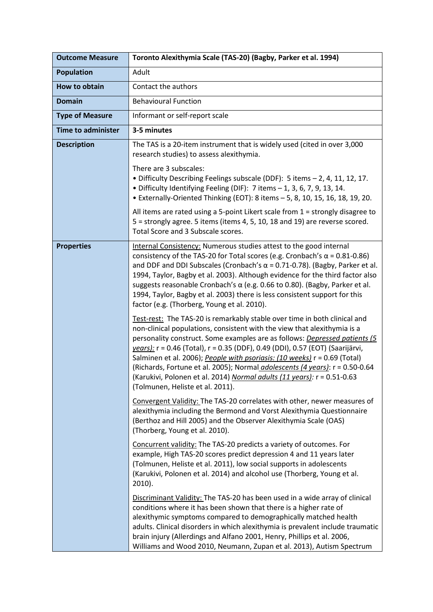| <b>Outcome Measure</b>    | Toronto Alexithymia Scale (TAS-20) (Bagby, Parker et al. 1994)                                                                                                                                                                                                                                                                                                                                                                                                                                                                                                                                           |
|---------------------------|----------------------------------------------------------------------------------------------------------------------------------------------------------------------------------------------------------------------------------------------------------------------------------------------------------------------------------------------------------------------------------------------------------------------------------------------------------------------------------------------------------------------------------------------------------------------------------------------------------|
| <b>Population</b>         | Adult                                                                                                                                                                                                                                                                                                                                                                                                                                                                                                                                                                                                    |
| How to obtain             | Contact the authors                                                                                                                                                                                                                                                                                                                                                                                                                                                                                                                                                                                      |
| <b>Domain</b>             | <b>Behavioural Function</b>                                                                                                                                                                                                                                                                                                                                                                                                                                                                                                                                                                              |
| <b>Type of Measure</b>    | Informant or self-report scale                                                                                                                                                                                                                                                                                                                                                                                                                                                                                                                                                                           |
| <b>Time to administer</b> | 3-5 minutes                                                                                                                                                                                                                                                                                                                                                                                                                                                                                                                                                                                              |
| <b>Description</b>        | The TAS is a 20-item instrument that is widely used (cited in over 3,000<br>research studies) to assess alexithymia.                                                                                                                                                                                                                                                                                                                                                                                                                                                                                     |
|                           | There are 3 subscales:<br>• Difficulty Describing Feelings subscale (DDF): 5 items - 2, 4, 11, 12, 17.<br>· Difficulty Identifying Feeling (DIF): 7 items - 1, 3, 6, 7, 9, 13, 14.<br>• Externally-Oriented Thinking (EOT): 8 items - 5, 8, 10, 15, 16, 18, 19, 20.                                                                                                                                                                                                                                                                                                                                      |
|                           | All items are rated using a 5-point Likert scale from $1$ = strongly disagree to<br>5 = strongly agree. 5 items (items 4, 5, 10, 18 and 19) are reverse scored.<br>Total Score and 3 Subscale scores.                                                                                                                                                                                                                                                                                                                                                                                                    |
| <b>Properties</b>         | Internal Consistency: Numerous studies attest to the good internal<br>consistency of the TAS-20 for Total scores (e.g. Cronbach's $\alpha$ = 0.81-0.86)<br>and DDF and DDI Subscales (Cronbach's $\alpha$ = 0.71-0.78). (Bagby, Parker et al.<br>1994, Taylor, Bagby et al. 2003). Although evidence for the third factor also<br>suggests reasonable Cronbach's $\alpha$ (e.g. 0.66 to 0.80). (Bagby, Parker et al.<br>1994, Taylor, Bagby et al. 2003) there is less consistent support for this<br>factor (e.g. (Thorberg, Young et al. 2010).                                                        |
|                           | Test-rest: The TAS-20 is remarkably stable over time in both clinical and<br>non-clinical populations, consistent with the view that alexithymia is a<br>personality construct. Some examples are as follows: Depressed patients (5<br>years): r = 0.46 (Total), r = 0.35 (DDF), 0.49 (DDI), 0.57 (EOT) (Saarijärvi,<br>Salminen et al. 2006); People with psoriasis: (10 weeks) r = 0.69 (Total)<br>(Richards, Fortune et al. 2005); Normal <i>adolescents (4 years)</i> : r = 0.50-0.64<br>(Karukivi, Polonen et al. 2014) Normal adults (11 years): r = 0.51-0.63<br>(Tolmunen, Heliste et al. 2011). |
|                           | Convergent Validity: The TAS-20 correlates with other, newer measures of<br>alexithymia including the Bermond and Vorst Alexithymia Questionnaire<br>(Berthoz and Hill 2005) and the Observer Alexithymia Scale (OAS)<br>(Thorberg, Young et al. 2010).                                                                                                                                                                                                                                                                                                                                                  |
|                           | Concurrent validity: The TAS-20 predicts a variety of outcomes. For<br>example, High TAS-20 scores predict depression 4 and 11 years later<br>(Tolmunen, Heliste et al. 2011), low social supports in adolescents<br>(Karukivi, Polonen et al. 2014) and alcohol use (Thorberg, Young et al.<br>2010).                                                                                                                                                                                                                                                                                                   |
|                           | Discriminant Validity: The TAS-20 has been used in a wide array of clinical<br>conditions where it has been shown that there is a higher rate of<br>alexithymic symptoms compared to demographically matched health<br>adults. Clinical disorders in which alexithymia is prevalent include traumatic<br>brain injury (Allerdings and Alfano 2001, Henry, Phillips et al. 2006,<br>Williams and Wood 2010, Neumann, Zupan et al. 2013), Autism Spectrum                                                                                                                                                  |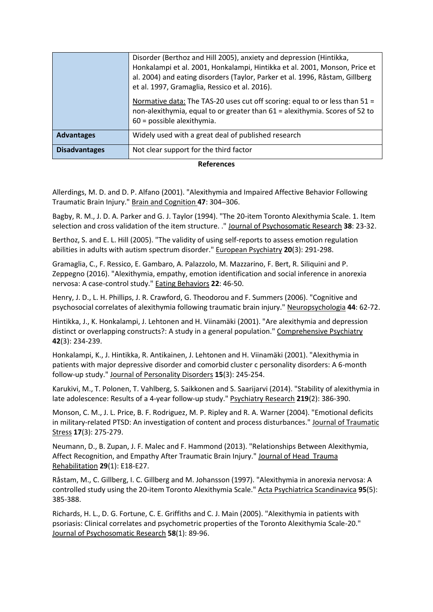|                      | Disorder (Berthoz and Hill 2005), anxiety and depression (Hintikka,<br>Honkalampi et al. 2001, Honkalampi, Hintikka et al. 2001, Monson, Price et<br>al. 2004) and eating disorders (Taylor, Parker et al. 1996, Råstam, Gillberg<br>et al. 1997, Gramaglia, Ressico et al. 2016). |
|----------------------|------------------------------------------------------------------------------------------------------------------------------------------------------------------------------------------------------------------------------------------------------------------------------------|
|                      | Normative data: The TAS-20 uses cut off scoring: equal to or less than 51 =<br>non-alexithymia, equal to or greater than 61 = alexithymia. Scores of 52 to<br>$60$ = possible alexithymia.                                                                                         |
| <b>Advantages</b>    | Widely used with a great deal of published research                                                                                                                                                                                                                                |
| <b>Disadvantages</b> | Not clear support for the third factor                                                                                                                                                                                                                                             |

## **References**

Allerdings, M. D. and D. P. Alfano (2001). "Alexithymia and Impaired Affective Behavior Following Traumatic Brain Injury." Brain and Cognition **47**: 304–306.

Bagby, R. M., J. D. A. Parker and G. J. Taylor (1994). "The 20-item Toronto Alexithymia Scale. 1. Item selection and cross validation of the item structure. ." Journal of Psychosomatic Research **38**: 23-32.

Berthoz, S. and E. L. Hill (2005). "The validity of using self-reports to assess emotion regulation abilities in adults with autism spectrum disorder." European Psychiatry **20**(3): 291-298.

Gramaglia, C., F. Ressico, E. Gambaro, A. Palazzolo, M. Mazzarino, F. Bert, R. Siliquini and P. Zeppegno (2016). "Alexithymia, empathy, emotion identification and social inference in anorexia nervosa: A case-control study." Eating Behaviors **22**: 46-50.

Henry, J. D., L. H. Phillips, J. R. Crawford, G. Theodorou and F. Summers (2006). "Cognitive and psychosocial correlates of alexithymia following traumatic brain injury." Neuropsychologia **44**: 62-72.

Hintikka, J., K. Honkalampi, J. Lehtonen and H. Viinamäki (2001). "Are alexithymia and depression distinct or overlapping constructs?: A study in a general population." Comprehensive Psychiatry **42**(3): 234-239.

Honkalampi, K., J. Hintikka, R. Antikainen, J. Lehtonen and H. Viinamäki (2001). "Alexithymia in patients with major depressive disorder and comorbid cluster c personality disorders: A 6-month follow-up study." Journal of Personality Disorders **15**(3): 245-254.

Karukivi, M., T. Polonen, T. Vahlberg, S. Saikkonen and S. Saarijarvi (2014). "Stability of alexithymia in late adolescence: Results of a 4-year follow-up study." Psychiatry Research **219**(2): 386-390.

Monson, C. M., J. L. Price, B. F. Rodriguez, M. P. Ripley and R. A. Warner (2004). "Emotional deficits in military-related PTSD: An investigation of content and process disturbances." Journal of Traumatic Stress **17**(3): 275-279.

Neumann, D., B. Zupan, J. F. Malec and F. Hammond (2013). "Relationships Between Alexithymia, Affect Recognition, and Empathy After Traumatic Brain Injury." Journal of Head Trauma Rehabilitation **29**(1): E18-E27.

Råstam, M., C. Gillberg, I. C. Gillberg and M. Johansson (1997). "Alexithymia in anorexia nervosa: A controlled study using the 20-item Toronto Alexithymia Scale." Acta Psychiatrica Scandinavica **95**(5): 385-388.

Richards, H. L., D. G. Fortune, C. E. Griffiths and C. J. Main (2005). "Alexithymia in patients with psoriasis: Clinical correlates and psychometric properties of the Toronto Alexithymia Scale-20." Journal of Psychosomatic Research **58**(1): 89-96.